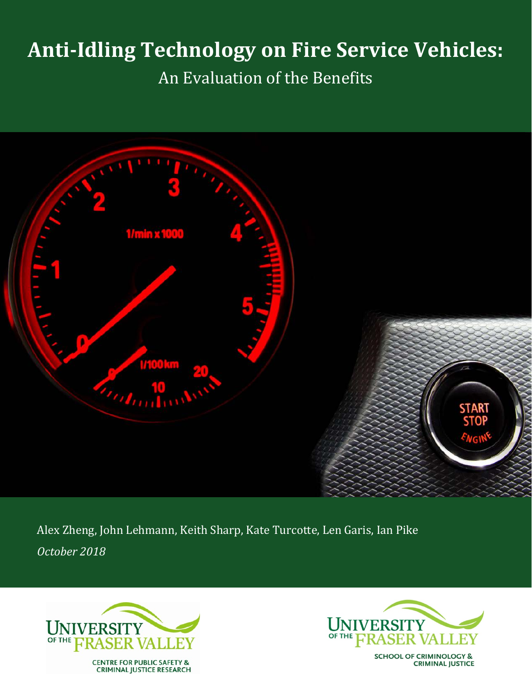# **Anti-Idling Technology on Fire Service Vehicles:**

An Evaluation of the Benefits



Alex Zheng, John Lehmann, Keith Sharp, Kate Turcotte, Len Garis, Ian Pike *October 2018*





**SCHOOL OF CRIMINOLOGY & CRIMINAL JUSTICE**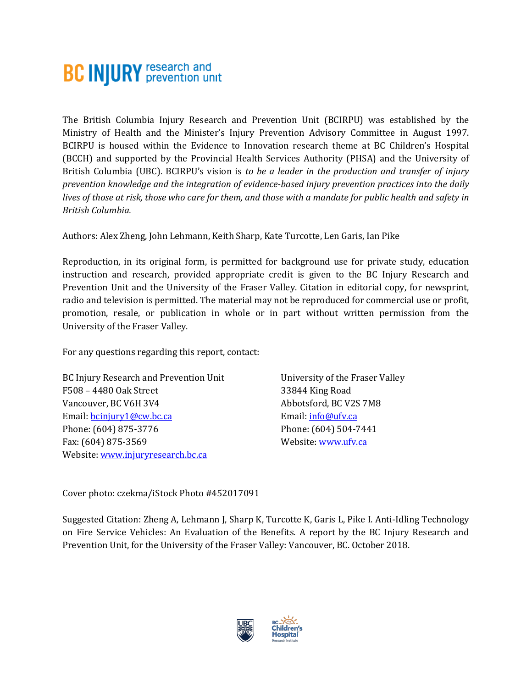# **BC INJURY** research and

The British Columbia Injury Research and Prevention Unit (BCIRPU) was established by the Ministry of Health and the Minister's Injury Prevention Advisory Committee in August 1997. BCIRPU is housed within the Evidence to Innovation research theme at BC Children's Hospital (BCCH) and supported by the Provincial Health Services Authority (PHSA) and the University of British Columbia (UBC). BCIRPU's vision is *to be a leader in the production and transfer of injury prevention knowledge and the integration of evidence-based injury prevention practices into the daily lives of those at risk, those who care for them, and those with a mandate for public health and safety in British Columbia.* 

Authors: Alex Zheng, John Lehmann, Keith Sharp, Kate Turcotte, Len Garis, Ian Pike

Reproduction, in its original form, is permitted for background use for private study, education instruction and research, provided appropriate credit is given to the BC Injury Research and Prevention Unit and the University of the Fraser Valley. Citation in editorial copy, for newsprint, radio and television is permitted. The material may not be reproduced for commercial use or profit, promotion, resale, or publication in whole or in part without written permission from the University of the Fraser Valley.

For any questions regarding this report, contact:

BC Injury Research and Prevention Unit F508 – 4480 Oak Street Vancouver, BC V6H 3V4 Email: [bcinjury1@cw.bc.ca](mailto:bcinjury1@cw.bc.ca) Phone: (604) 875-3776 Fax: (604) 875-3569 Website[: www.injuryresearch.bc.ca](http://www.injuryresearch.bc.ca/)

University of the Fraser Valley 33844 King Road Abbotsford, BC V2S 7M8 Email: [info@ufv.ca](mailto:info@ufv.ca) Phone: (604) 504-7441 Website[: www.ufv.ca](http://www.ufv.ca/)

Cover photo: czekma/iStock Photo #452017091

Suggested Citation: Zheng A, Lehmann J, Sharp K, Turcotte K, Garis L, Pike I. Anti-Idling Technology on Fire Service Vehicles: An Evaluation of the Benefits. A report by the BC Injury Research and Prevention Unit, for the University of the Fraser Valley: Vancouver, BC. October 2018.

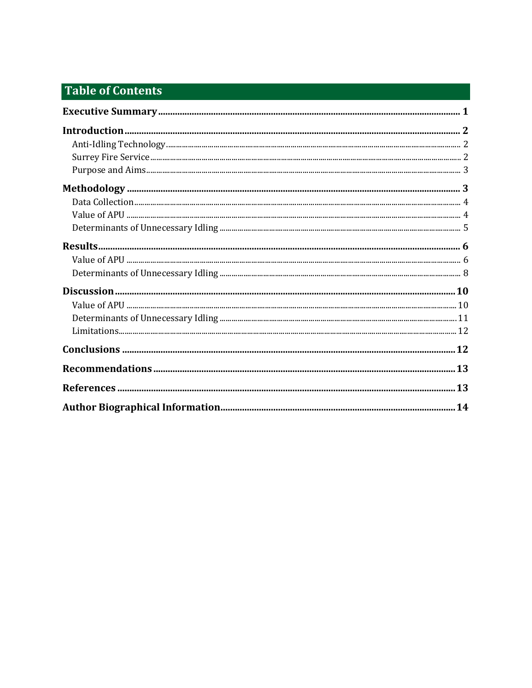# **Table of Contents**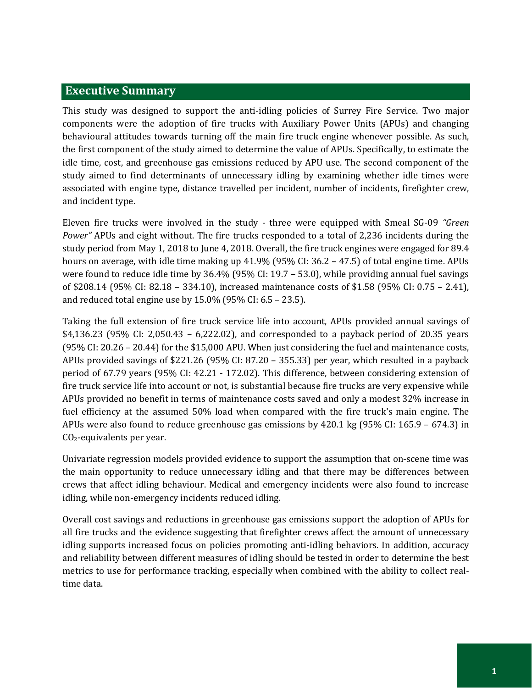#### <span id="page-4-0"></span>**Executive Summary**

This study was designed to support the anti-idling policies of Surrey Fire Service. Two major components were the adoption of fire trucks with Auxiliary Power Units (APUs) and changing behavioural attitudes towards turning off the main fire truck engine whenever possible. As such, the first component of the study aimed to determine the value of APUs. Specifically, to estimate the idle time, cost, and greenhouse gas emissions reduced by APU use. The second component of the study aimed to find determinants of unnecessary idling by examining whether idle times were associated with engine type, distance travelled per incident, number of incidents, firefighter crew, and incident type.

Eleven fire trucks were involved in the study - three were equipped with Smeal SG-09 *"Green Power"* APUs and eight without. The fire trucks responded to a total of 2,236 incidents during the study period from May 1, 2018 to June 4, 2018. Overall, the fire truck engines were engaged for 89.4 hours on average, with idle time making up 41.9% (95% CI: 36.2 – 47.5) of total engine time. APUs were found to reduce idle time by 36.4% (95% CI: 19.7 – 53.0), while providing annual fuel savings of \$208.14 (95% CI: 82.18 – 334.10), increased maintenance costs of \$1.58 (95% CI: 0.75 – 2.41), and reduced total engine use by 15.0% (95% CI: 6.5 – 23.5).

Taking the full extension of fire truck service life into account, APUs provided annual savings of \$4,136.23 (95% CI: 2,050.43 – 6,222.02), and corresponded to a payback period of 20.35 years (95% CI: 20.26 – 20.44) for the \$15,000 APU. When just considering the fuel and maintenance costs, APUs provided savings of \$221.26 (95% CI: 87.20 – 355.33) per year, which resulted in a payback period of 67.79 years (95% CI: 42.21 - 172.02). This difference, between considering extension of fire truck service life into account or not, is substantial because fire trucks are very expensive while APUs provided no benefit in terms of maintenance costs saved and only a modest 32% increase in fuel efficiency at the assumed 50% load when compared with the fire truck's main engine. The APUs were also found to reduce greenhouse gas emissions by 420.1 kg (95% CI: 165.9 – 674.3) in CO2-equivalents per year.

Univariate regression models provided evidence to support the assumption that on-scene time was the main opportunity to reduce unnecessary idling and that there may be differences between crews that affect idling behaviour. Medical and emergency incidents were also found to increase idling, while non-emergency incidents reduced idling.

Overall cost savings and reductions in greenhouse gas emissions support the adoption of APUs for all fire trucks and the evidence suggesting that firefighter crews affect the amount of unnecessary idling supports increased focus on policies promoting anti-idling behaviors. In addition, accuracy and reliability between different measures of idling should be tested in order to determine the best metrics to use for performance tracking, especially when combined with the ability to collect realtime data.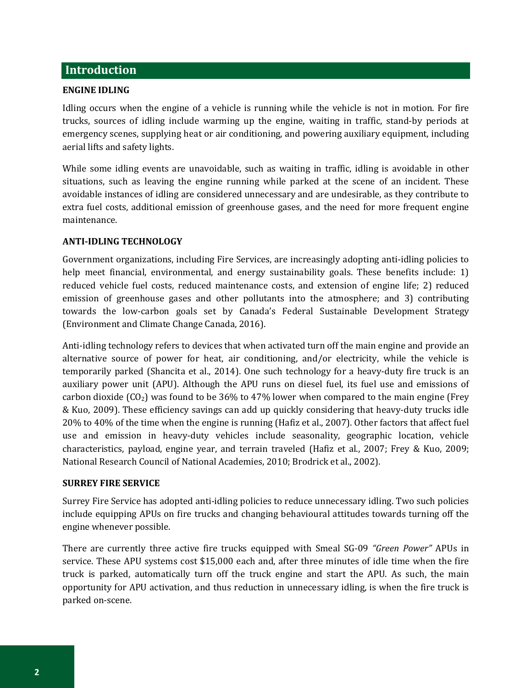### <span id="page-5-0"></span>**Introduction**

#### **ENGINE IDLING**

Idling occurs when the engine of a vehicle is running while the vehicle is not in motion. For fire trucks, sources of idling include warming up the engine, waiting in traffic, stand-by periods at emergency scenes, supplying heat or air conditioning, and powering auxiliary equipment, including aerial lifts and safety lights.

While some idling events are unavoidable, such as waiting in traffic, idling is avoidable in other situations, such as leaving the engine running while parked at the scene of an incident. These avoidable instances of idling are considered unnecessary and are undesirable, as they contribute to extra fuel costs, additional emission of greenhouse gases, and the need for more frequent engine maintenance.

#### <span id="page-5-1"></span>**ANTI-IDLING TECHNOLOGY**

Government organizations, including Fire Services, are increasingly adopting anti-idling policies to help meet financial, environmental, and energy sustainability goals. These benefits include: 1) reduced vehicle fuel costs, reduced maintenance costs, and extension of engine life; 2) reduced emission of greenhouse gases and other pollutants into the atmosphere; and 3) contributing towards the low-carbon goals set by Canada's Federal Sustainable Development Strategy (Environment and Climate Change Canada, 2016).

Anti-idling technology refers to devices that when activated turn off the main engine and provide an alternative source of power for heat, air conditioning, and/or electricity, while the vehicle is temporarily parked (Shancita et al., 2014). One such technology for a heavy-duty fire truck is an auxiliary power unit (APU). Although the APU runs on diesel fuel, its fuel use and emissions of carbon dioxide  $(CO<sub>2</sub>)$  was found to be 36% to 47% lower when compared to the main engine (Frey & Kuo, 2009). These efficiency savings can add up quickly considering that heavy-duty trucks idle 20% to 40% of the time when the engine is running (Hafiz et al., 2007). Other factors that affect fuel use and emission in heavy-duty vehicles include seasonality, geographic location, vehicle characteristics, payload, engine year, and terrain traveled (Hafiz et al., 2007; Frey & Kuo, 2009; National Research Council of National Academies, 2010; Brodrick et al., 2002).

#### <span id="page-5-2"></span>**SURREY FIRE SERVICE**

Surrey Fire Service has adopted anti-idling policies to reduce unnecessary idling. Two such policies include equipping APUs on fire trucks and changing behavioural attitudes towards turning off the engine whenever possible.

There are currently three active fire trucks equipped with Smeal SG-09 *"Green Power"* APUs in service. These APU systems cost \$15,000 each and, after three minutes of idle time when the fire truck is parked, automatically turn off the truck engine and start the APU. As such, the main opportunity for APU activation, and thus reduction in unnecessary idling, is when the fire truck is parked on-scene.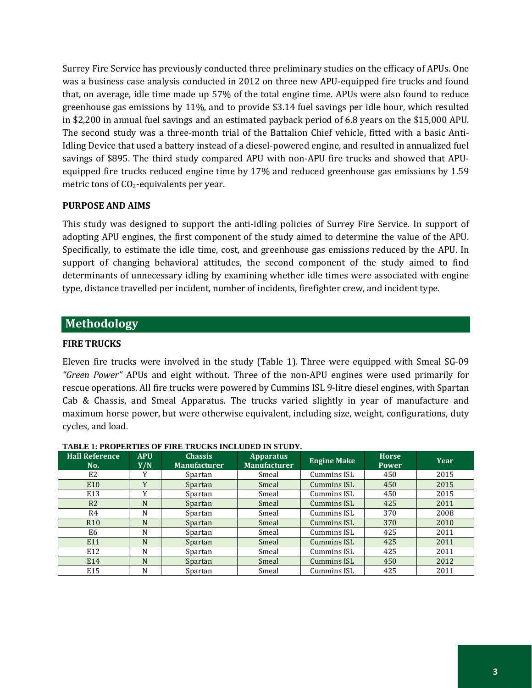Surrey Fire Service has previously conducted three preliminary studies on the efficacy of APUs. One was a business case analysis conducted in 2012 on three new APU-equipped fire trucks and found that, on average, idle time made up 57% of the total engine time. APUs were also found to reduce greenhouse gas emissions by 11%, and to provide \$3.14 fuel savings per idle hour, which resulted in \$2,200 in annual fuel savings and an estimated payback period of 6.8 years on the \$15,000 APU. The second study was a three-month trial of the Battalion Chief vehicle, fitted with a basic Anti-Idling Device that used a battery instead of a diesel-powered engine, and resulted in annualized fuel savings of \$895. The third study compared APU with non-APU fire trucks and showed that APUequipped fire trucks reduced engine time by 17% and reduced greenhouse gas emissions by 1.59 metric tons of CO<sub>2</sub>-equivalents per year.

#### <span id="page-6-0"></span>**PURPOSE AND AIMS**

This study was designed to support the anti-idling policies of Surrey Fire Service. In support of adopting APU engines, the first component of the study aimed to determine the value of the APU. Specifically, to estimate the idle time, cost, and greenhouse gas emissions reduced by the APU. In support of changing behavioral attitudes, the second component of the study aimed to find determinants of unnecessary idling by examining whether idle times were associated with engine type, distance travelled per incident, number of incidents, firefighter crew, and incident type.

#### <span id="page-6-1"></span>**Methodology**

#### **FIRE TRUCKS**

Eleven fire trucks were involved in the study (Table 1). Three were equipped with Smeal SG-09 *"Green Power"* APUs and eight without. Three of the non-APU engines were used primarily for rescue operations. All fire trucks were powered by Cummins ISL 9-litre diesel engines, with Spartan Cab & Chassis, and Smeal Apparatus. The trucks varied slightly in year of manufacture and maximum horse power, but were otherwise equivalent, including size, weight, configurations, duty cycles, and load.

|                              | LADIZE LI INTERNATION VE FINE TINGUNO HVOLIQIZITI N OTVITI. |                                       |                                         |                    |                              |      |  |  |  |  |  |  |  |
|------------------------------|-------------------------------------------------------------|---------------------------------------|-----------------------------------------|--------------------|------------------------------|------|--|--|--|--|--|--|--|
| <b>Hall Reference</b><br>No. | <b>APU</b><br>Y/N                                           | <b>Chassis</b><br><b>Manufacturer</b> | <b>Apparatus</b><br><b>Manufacturer</b> | <b>Engine Make</b> | <b>Horse</b><br><b>Power</b> | Year |  |  |  |  |  |  |  |
| E2                           | Y                                                           | Spartan                               | Smeal                                   | Cummins ISL        | 450                          | 2015 |  |  |  |  |  |  |  |
| E10                          | Y                                                           | Spartan                               | Smeal                                   | Cummins ISL        | 450                          | 2015 |  |  |  |  |  |  |  |
| E13                          | v                                                           | Spartan                               | Smeal                                   | Cummins ISL        | 450                          | 2015 |  |  |  |  |  |  |  |
| R <sub>2</sub>               | N                                                           | Spartan                               | Smeal                                   | Cummins ISL        | 425                          | 2011 |  |  |  |  |  |  |  |
| R4                           | N                                                           | Spartan                               | Smeal                                   | Cummins ISL        | 370                          | 2008 |  |  |  |  |  |  |  |
| R <sub>10</sub>              | N                                                           | Spartan                               | Smeal                                   | Cummins ISL        | 370                          | 2010 |  |  |  |  |  |  |  |
| E6                           | N                                                           | Spartan                               | Smeal                                   | Cummins ISL        | 425                          | 2011 |  |  |  |  |  |  |  |
| E11                          | N                                                           | Spartan                               | Smeal                                   | Cummins ISL        | 425                          | 2011 |  |  |  |  |  |  |  |
| E12                          | N                                                           | Spartan                               | Smeal                                   | Cummins ISL        | 425                          | 2011 |  |  |  |  |  |  |  |
| E14                          | N                                                           | Spartan                               | Smeal                                   | Cummins ISL        | 450                          | 2012 |  |  |  |  |  |  |  |
| E15                          | N                                                           | Spartan                               | Smeal                                   | Cummins ISL        | 425                          | 2011 |  |  |  |  |  |  |  |

#### **TABLE 1: PROPERTIES OF FIRE TRUCKS INCLUDED IN STUDY.**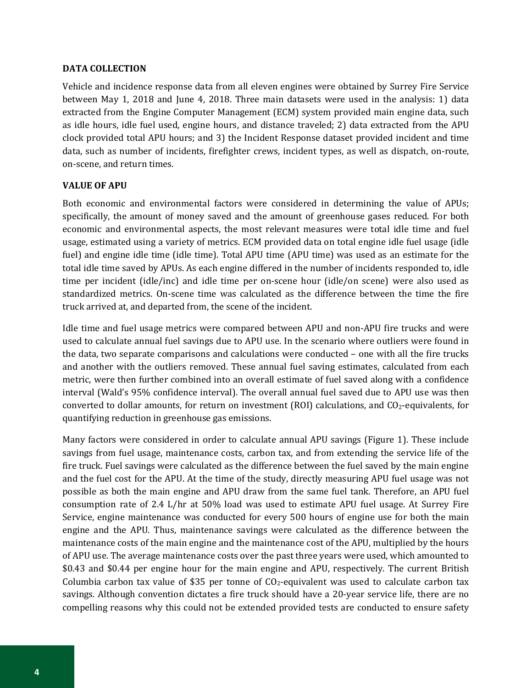#### <span id="page-7-0"></span>**DATA COLLECTION**

Vehicle and incidence response data from all eleven engines were obtained by Surrey Fire Service between May 1, 2018 and June 4, 2018. Three main datasets were used in the analysis: 1) data extracted from the Engine Computer Management (ECM) system provided main engine data, such as idle hours, idle fuel used, engine hours, and distance traveled; 2) data extracted from the APU clock provided total APU hours; and 3) the Incident Response dataset provided incident and time data, such as number of incidents, firefighter crews, incident types, as well as dispatch, on-route, on-scene, and return times.

#### <span id="page-7-1"></span>**VALUE OF APU**

Both economic and environmental factors were considered in determining the value of APUs; specifically, the amount of money saved and the amount of greenhouse gases reduced. For both economic and environmental aspects, the most relevant measures were total idle time and fuel usage, estimated using a variety of metrics. ECM provided data on total engine idle fuel usage (idle fuel) and engine idle time (idle time). Total APU time (APU time) was used as an estimate for the total idle time saved by APUs. As each engine differed in the number of incidents responded to, idle time per incident (idle/inc) and idle time per on-scene hour (idle/on scene) were also used as standardized metrics. On-scene time was calculated as the difference between the time the fire truck arrived at, and departed from, the scene of the incident.

Idle time and fuel usage metrics were compared between APU and non-APU fire trucks and were used to calculate annual fuel savings due to APU use. In the scenario where outliers were found in the data, two separate comparisons and calculations were conducted – one with all the fire trucks and another with the outliers removed. These annual fuel saving estimates, calculated from each metric, were then further combined into an overall estimate of fuel saved along with a confidence interval (Wald's 95% confidence interval). The overall annual fuel saved due to APU use was then converted to dollar amounts, for return on investment (ROI) calculations, and  $CO<sub>2</sub>$ -equivalents, for quantifying reduction in greenhouse gas emissions.

Many factors were considered in order to calculate annual APU savings (Figure 1). These include savings from fuel usage, maintenance costs, carbon tax, and from extending the service life of the fire truck. Fuel savings were calculated as the difference between the fuel saved by the main engine and the fuel cost for the APU. At the time of the study, directly measuring APU fuel usage was not possible as both the main engine and APU draw from the same fuel tank. Therefore, an APU fuel consumption rate of 2.4 L/hr at 50% load was used to estimate APU fuel usage. At Surrey Fire Service, engine maintenance was conducted for every 500 hours of engine use for both the main engine and the APU. Thus, maintenance savings were calculated as the difference between the maintenance costs of the main engine and the maintenance cost of the APU, multiplied by the hours of APU use. The average maintenance costs over the past three years were used, which amounted to \$0.43 and \$0.44 per engine hour for the main engine and APU, respectively. The current British Columbia carbon tax value of \$35 per tonne of  $CO<sub>2</sub>$ -equivalent was used to calculate carbon tax savings. Although convention dictates a fire truck should have a 20-year service life, there are no compelling reasons why this could not be extended provided tests are conducted to ensure safety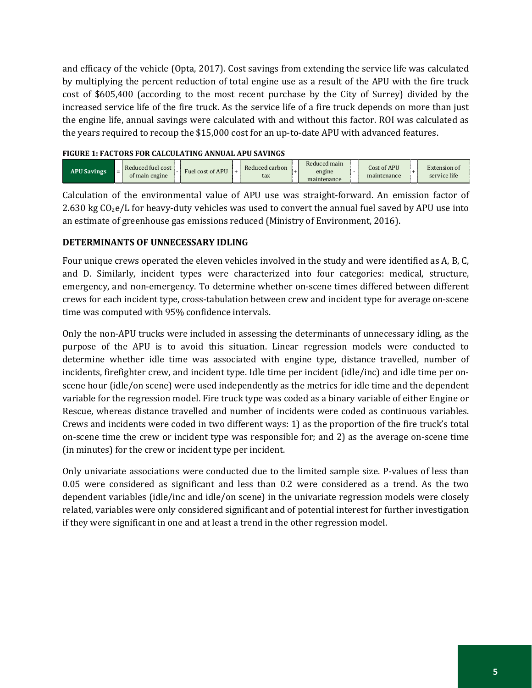and efficacy of the vehicle (Opta, 2017). Cost savings from extending the service life was calculated by multiplying the percent reduction of total engine use as a result of the APU with the fire truck cost of \$605,400 (according to the most recent purchase by the City of Surrey) divided by the increased service life of the fire truck. As the service life of a fire truck depends on more than just the engine life, annual savings were calculated with and without this factor. ROI was calculated as the years required to recoup the \$15,000 cost for an up-to-date APU with advanced features.

#### **FIGURE 1: FACTORS FOR CALCULATING ANNUAL APU SAVINGS**

| <b>APU Savings</b> | $=$ | Reduced fuel cost<br>of main engine |  | Fuel cost of APU |  | Reduced carbon<br>tax |  | Reduced main<br>engine<br>maintenance |  | Cost of APU<br>maintenance |  | Extension of<br>service life |
|--------------------|-----|-------------------------------------|--|------------------|--|-----------------------|--|---------------------------------------|--|----------------------------|--|------------------------------|
|--------------------|-----|-------------------------------------|--|------------------|--|-----------------------|--|---------------------------------------|--|----------------------------|--|------------------------------|

Calculation of the environmental value of APU use was straight-forward. An emission factor of 2.630 kg  $CO_2e/L$  for heavy-duty vehicles was used to convert the annual fuel saved by APU use into an estimate of greenhouse gas emissions reduced (Ministry of Environment, 2016).

#### <span id="page-8-0"></span>**DETERMINANTS OF UNNECESSARY IDLING**

Four unique crews operated the eleven vehicles involved in the study and were identified as A, B, C, and D. Similarly, incident types were characterized into four categories: medical, structure, emergency, and non-emergency. To determine whether on-scene times differed between different crews for each incident type, cross-tabulation between crew and incident type for average on-scene time was computed with 95% confidence intervals.

Only the non-APU trucks were included in assessing the determinants of unnecessary idling, as the purpose of the APU is to avoid this situation. Linear regression models were conducted to determine whether idle time was associated with engine type, distance travelled, number of incidents, firefighter crew, and incident type. Idle time per incident (idle/inc) and idle time per onscene hour (idle/on scene) were used independently as the metrics for idle time and the dependent variable for the regression model. Fire truck type was coded as a binary variable of either Engine or Rescue, whereas distance travelled and number of incidents were coded as continuous variables. Crews and incidents were coded in two different ways: 1) as the proportion of the fire truck's total on-scene time the crew or incident type was responsible for; and 2) as the average on-scene time (in minutes) for the crew or incident type per incident.

Only univariate associations were conducted due to the limited sample size. P-values of less than 0.05 were considered as significant and less than 0.2 were considered as a trend. As the two dependent variables (idle/inc and idle/on scene) in the univariate regression models were closely related, variables were only considered significant and of potential interest for further investigation if they were significant in one and at least a trend in the other regression model.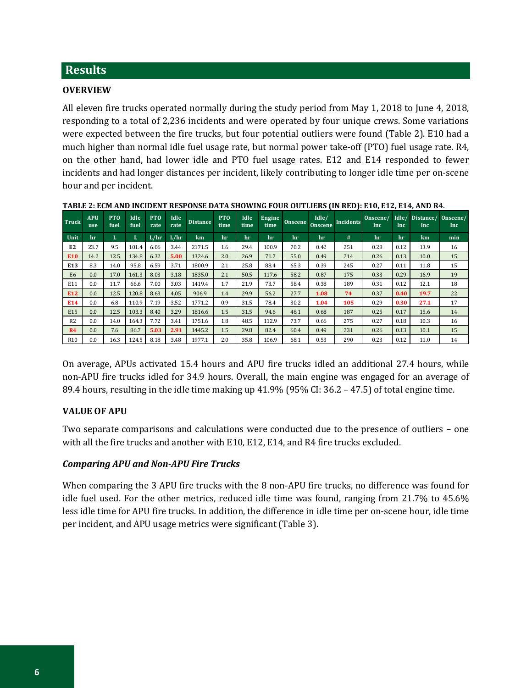## <span id="page-9-0"></span>**Results**

#### **OVERVIEW**

All eleven fire trucks operated normally during the study period from May 1, 2018 to June 4, 2018, responding to a total of 2,236 incidents and were operated by four unique crews. Some variations were expected between the fire trucks, but four potential outliers were found (Table 2). E10 had a much higher than normal idle fuel usage rate, but normal power take-off (PTO) fuel usage rate. R4, on the other hand, had lower idle and PTO fuel usage rates. E12 and E14 responded to fewer incidents and had longer distances per incident, likely contributing to longer idle time per on-scene hour and per incident.

| <b>Truck</b>    | <b>APU</b><br>use | PT <sub>0</sub><br>fuel | Idle<br>fuel | <b>PTO</b><br>rate | Idle<br>rate | <b>Distance</b> | <b>PTO</b><br>time | Idle<br>time | Engine<br>time | Onscene | Idle/<br><b>Onscene</b> | <b>Incidents</b> | Onscene/<br>Inc | Idle/<br><b>Inc</b> | Distance/<br>Inc | Onscene/<br>Inc. |
|-----------------|-------------------|-------------------------|--------------|--------------------|--------------|-----------------|--------------------|--------------|----------------|---------|-------------------------|------------------|-----------------|---------------------|------------------|------------------|
| Unit            | hr                | L                       | L            | L/hr               | L/hr         | km.             | hr                 | hr           | hr             | hr      | hr                      | #                | hr              | hr                  | km               | min              |
| E <sub>2</sub>  | 23.7              | 9.5                     | 101.4        | 6.06               | 3.44         | 2171.5          | 1.6                | 29.4         | 100.9          | 70.2    | 0.42                    | 251              | 0.28            | 0.12                | 13.9             | 16               |
| E10             | 14.2              | 12.5                    | 134.8        | 6.32               | 5.00         | 1324.6          | 2.0                | 26.9         | 71.7           | 55.0    | 0.49                    | 214              | 0.26            | 0.13                | 10.0             | 15               |
| E <sub>13</sub> | 8.3               | 14.0                    | 95.8         | 6.59               | 3.71         | 1800.9          | 2.1                | 25.8         | 88.4           | 65.3    | 0.39                    | 245              | 0.27            | 0.11                | 11.8             | 15               |
| E <sub>6</sub>  | 0.0               | 17.0                    | 161.3        | 8.03               | 3.18         | 1835.0          | 2.1                | 50.5         | 117.6          | 58.2    | 0.87                    | 175              | 0.33            | 0.29                | 16.9             | 19               |
| E11             | 0.0               | 11.7                    | 66.6         | 7.00               | 3.03         | 1419.4          | 1.7                | 21.9         | 73.7           | 58.4    | 0.38                    | 189              | 0.31            | 0.12                | 12.1             | 18               |
| E12             | 0.0               | 12.5                    | 120.8        | 8.63               | 4.05         | 906.9           | 1.4                | 29.9         | 56.2           | 27.7    | 1.08                    | 74               | 0.37            | 0.40                | 19.7             | 22               |
| E14             | 0.0               | 6.8                     | 110.9        | 7.19               | 3.52         | 1771.2          | 0.9                | 31.5         | 78.4           | 30.2    | 1.04                    | 105              | 0.29            | 0.30                | 27.1             | 17               |
| E15             | 0.0               | 12.5                    | 103.3        | 8.40               | 3.29         | 1816.6          | 1.5                | 31.5         | 94.6           | 46.1    | 0.68                    | 187              | 0.25            | 0.17                | 15.6             | 14               |
| R <sub>2</sub>  | 0.0               | 14.0                    | 164.3        | 7.72               | 3.41         | 1751.6          | 1.8                | 48.5         | 112.9          | 73.7    | 0.66                    | 275              | 0.27            | 0.18                | 10.3             | 16               |
| R <sub>4</sub>  | 0.0               | 7.6                     | 86.7         | 5.03               | 2.91         | 1445.2          | 1.5                | 29.8         | 82.4           | 60.4    | 0.49                    | 231              | 0.26            | 0.13                | 10.1             | 15               |
| R <sub>10</sub> | 0.0               | 16.3                    | 124.5        | 8.18               | 3.48         | 1977.1          | 2.0                | 35.8         | 106.9          | 68.1    | 0.53                    | 290              | 0.23            | 0.12                | 11.0             | 14               |

**TABLE 2: ECM AND INCIDENT RESPONSE DATA SHOWING FOUR OUTLIERS (IN RED): E10, E12, E14, AND R4.**

On average, APUs activated 15.4 hours and APU fire trucks idled an additional 27.4 hours, while non-APU fire trucks idled for 34.9 hours. Overall, the main engine was engaged for an average of 89.4 hours, resulting in the idle time making up 41.9% (95% CI: 36.2 – 47.5) of total engine time.

#### <span id="page-9-1"></span>**VALUE OF APU**

Two separate comparisons and calculations were conducted due to the presence of outliers – one with all the fire trucks and another with E10, E12, E14, and R4 fire trucks excluded.

#### *Comparing APU and Non-APU Fire Trucks*

When comparing the 3 APU fire trucks with the 8 non-APU fire trucks, no difference was found for idle fuel used. For the other metrics, reduced idle time was found, ranging from 21.7% to 45.6% less idle time for APU fire trucks. In addition, the difference in idle time per on-scene hour, idle time per incident, and APU usage metrics were significant (Table 3).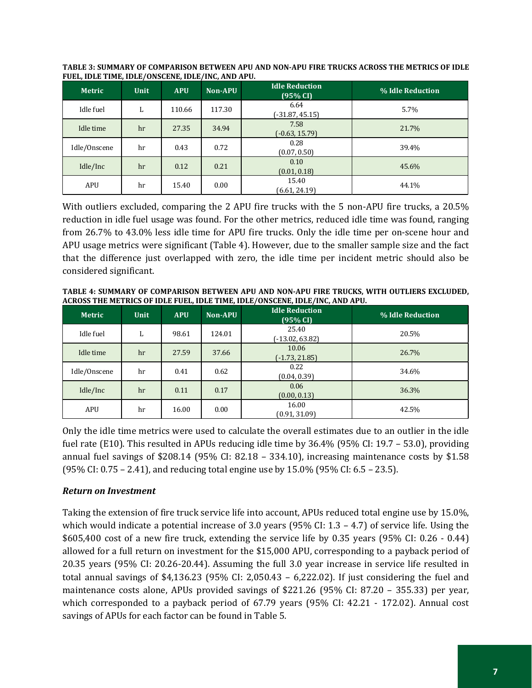| <b>Metric</b> | Unit | <b>APU</b> | Non-APU | <b>Idle Reduction</b><br>(95% CI) | % Idle Reduction |
|---------------|------|------------|---------|-----------------------------------|------------------|
| Idle fuel     | L    | 110.66     | 117.30  | 6.64<br>$(-31.87, 45.15)$         | 5.7%             |
| Idle time     | hr   | 27.35      | 34.94   | 7.58<br>$(-0.63, 15.79)$          | 21.7%            |
| Idle/Onscene  | hr   | 0.43       | 0.72    | 0.28<br>(0.07, 0.50)              | 39.4%            |
| Idle/Inc      | hr   | 0.12       | 0.21    | 0.10<br>(0.01, 0.18)              | 45.6%            |
| APU           | hr   | 15.40      | 0.00    | 15.40<br>(6.61, 24.19)            | 44.1%            |

**TABLE 3: SUMMARY OF COMPARISON BETWEEN APU AND NON-APU FIRE TRUCKS ACROSS THE METRICS OF IDLE FUEL, IDLE TIME, IDLE/ONSCENE, IDLE/INC, AND APU.**

With outliers excluded, comparing the 2 APU fire trucks with the 5 non-APU fire trucks, a 20.5% reduction in idle fuel usage was found. For the other metrics, reduced idle time was found, ranging from 26.7% to 43.0% less idle time for APU fire trucks. Only the idle time per on-scene hour and APU usage metrics were significant (Table 4). However, due to the smaller sample size and the fact that the difference just overlapped with zero, the idle time per incident metric should also be considered significant.

**TABLE 4: SUMMARY OF COMPARISON BETWEEN APU AND NON-APU FIRE TRUCKS, WITH OUTLIERS EXCLUDED, ACROSS THE METRICS OF IDLE FUEL, IDLE TIME, IDLE/ONSCENE, IDLE/INC, AND APU.**

| <b>Metric</b> | Unit | <b>APU</b> | <b>Non-APU</b> | <b>Idle Reduction</b><br>(95% CI) | % Idle Reduction |
|---------------|------|------------|----------------|-----------------------------------|------------------|
| Idle fuel     | L    | 98.61      | 124.01         | 25.40<br>$(-13.02, 63.82)$        | 20.5%            |
| Idle time     | hr   | 27.59      | 37.66          | 10.06<br>$(-1.73, 21.85)$         | 26.7%            |
| Idle/Onscene  | hr   | 0.41       | 0.62           | 0.22<br>(0.04, 0.39)              | 34.6%            |
| Idle/Inc      | hr   | 0.11       | 0.17           | 0.06<br>(0.00, 0.13)              | 36.3%            |
| APU           | hr   | 16.00      | 0.00           | 16.00<br>(0.91, 31.09)            | 42.5%            |

Only the idle time metrics were used to calculate the overall estimates due to an outlier in the idle fuel rate (E10). This resulted in APUs reducing idle time by 36.4% (95% CI: 19.7 – 53.0), providing annual fuel savings of \$208.14 (95% CI: 82.18 – 334.10), increasing maintenance costs by \$1.58 (95% CI: 0.75 – 2.41), and reducing total engine use by 15.0% (95% CI: 6.5 – 23.5).

#### *Return on Investment*

Taking the extension of fire truck service life into account, APUs reduced total engine use by 15.0%, which would indicate a potential increase of 3.0 years (95% CI: 1.3 – 4.7) of service life. Using the \$605,400 cost of a new fire truck, extending the service life by 0.35 years (95% CI: 0.26 - 0.44) allowed for a full return on investment for the \$15,000 APU, corresponding to a payback period of 20.35 years (95% CI: 20.26-20.44). Assuming the full 3.0 year increase in service life resulted in total annual savings of \$4,136.23 (95% CI: 2,050.43 – 6,222.02). If just considering the fuel and maintenance costs alone, APUs provided savings of \$221.26 (95% CI: 87.20 – 355.33) per year, which corresponded to a payback period of 67.79 years (95% CI: 42.21 - 172.02). Annual cost savings of APUs for each factor can be found in Table 5.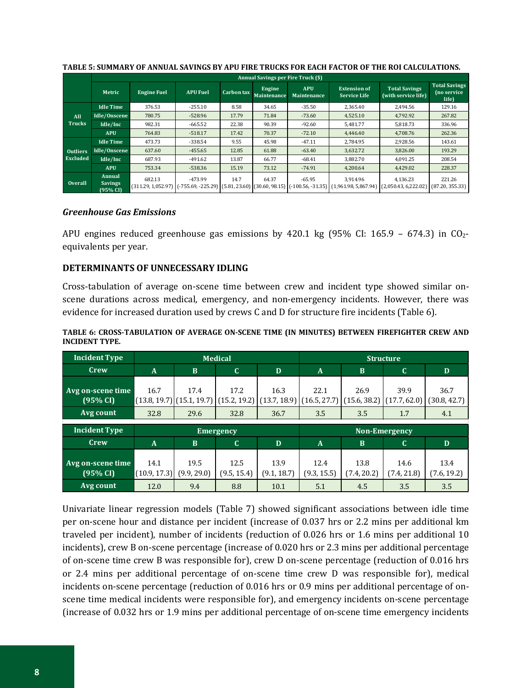|                 |                                      | <b>Annual Savings per Fire Truck (\$)</b> |                 |                   |                              |                           |                                                                                                                              |                                                    |                                              |  |  |  |  |
|-----------------|--------------------------------------|-------------------------------------------|-----------------|-------------------|------------------------------|---------------------------|------------------------------------------------------------------------------------------------------------------------------|----------------------------------------------------|----------------------------------------------|--|--|--|--|
|                 | Metric                               | <b>Engine Fuel</b>                        | <b>APU Fuel</b> | <b>Carbon</b> tax | Engine<br><b>Maintenance</b> | <b>APU</b><br>Maintenance | <b>Extension of</b><br><b>Service Life</b>                                                                                   | <b>Total Savings</b><br>(with service life)        | <b>Total Savings</b><br>(no service<br>life) |  |  |  |  |
|                 | <b>Idle Time</b>                     | 376.53                                    | $-255.10$       | 8.58              | 34.65                        | $-35.50$                  | 2.365.40                                                                                                                     | 2.494.56                                           | 129.16                                       |  |  |  |  |
| All             | Idle/Onscene                         | 780.75                                    | $-528.96$       | 17.79             | 71.84                        | $-73.60$                  | 4,525.10                                                                                                                     | 4.792.92                                           | 267.82                                       |  |  |  |  |
| <b>Trucks</b>   | Idle/Inc                             | 982.31                                    | $-665.52$       | 22.38             | 90.39                        | $-92.60$                  | 5.481.77                                                                                                                     | 5.818.73                                           | 336.96                                       |  |  |  |  |
|                 | <b>APU</b>                           | 764.83                                    | $-518.17$       | 17.42             | 70.37                        | $-72.10$                  | 4.446.40                                                                                                                     | 4.708.76                                           | 262.36                                       |  |  |  |  |
|                 | <b>Idle Time</b>                     | 473.73                                    | $-338.54$       | 9.55              | 45.98                        | $-47.11$                  | 2.784.95                                                                                                                     | 2,928.56                                           | 143.61                                       |  |  |  |  |
| <b>Outliers</b> | Idle/Onscene                         | 637.60                                    | $-455.65$       | 12.85             | 61.88                        | $-63.40$                  | 3,632.72                                                                                                                     | 3,826.00                                           | 193.29                                       |  |  |  |  |
| Excluded        | Idle/Inc                             | 687.93                                    | $-491.62$       | 13.87             | 66.77                        | $-68.41$                  | 3.882.70                                                                                                                     | 4.091.25                                           | 208.54                                       |  |  |  |  |
|                 | <b>APU</b>                           | 753.34                                    | $-538.36$       | 15.19             | 73.12                        | $-74.91$                  | 4.200.64                                                                                                                     | 4.429.02                                           | 228.37                                       |  |  |  |  |
| Overall         | Annual<br><b>Savings</b><br>(95% CI) | 682.13                                    | $-473.99$       | 14.7              | 64.37                        | $-65.95$                  | 3,914.96<br>$(311.29, 1,052.97)$ $(5.569, 225.29)$ $(5.81, 23.60)$ $(30.60, 98.15)$ $(100.56, 31.35)$ $(1,961.98, 5,867.94)$ | 4,136.23<br>$(2,050.43, 6,222.02)$ (87.20, 355.33) | 221.26                                       |  |  |  |  |

#### **TABLE 5: SUMMARY OF ANNUAL SAVINGS BY APU FIRE TRUCKS FOR EACH FACTOR OF THE ROI CALCULATIONS.**

#### *Greenhouse Gas Emissions*

APU engines reduced greenhouse gas emissions by 420.1 kg  $(95\% \text{ CI: } 165.9 - 674.3)$  in CO<sub>2</sub>equivalents per year.

#### <span id="page-11-0"></span>**DETERMINANTS OF UNNECESSARY IDLING**

Cross-tabulation of average on-scene time between crew and incident type showed similar onscene durations across medical, emergency, and non-emergency incidents. However, there was evidence for increased duration used by crews C and D for structure fire incidents (Table 6).

| TABLE 6: CROSS-TABULATION OF AVERAGE ON-SCENE TIME (IN MINUTES) BETWEEN FIREFIGHTER CREW AND |  |  |  |
|----------------------------------------------------------------------------------------------|--|--|--|
| <b>INCIDENT TYPE.</b>                                                                        |  |  |  |

| <b>Incident Type</b>          |                      |                                       | <b>Medical</b>       |                      | <b>Structure</b>     |                      |                                     |                     |  |  |
|-------------------------------|----------------------|---------------------------------------|----------------------|----------------------|----------------------|----------------------|-------------------------------------|---------------------|--|--|
| Crew                          | $\mathbf{A}$         | <sub>B</sub>                          | $\mathbf C$          | D                    | $\mathbf{A}$         | B                    | C                                   | D                   |  |  |
| Avg on-scene time<br>(95% CI) | 16.7                 | 17.4<br>$(13.8, 19.7)$ $(15.1, 19.7)$ | 17.2<br>(15.2, 19.2) | 16.3<br>(13.7, 18.9) | 22.1<br>(16.5, 27.7) | 26.9<br>(15.6, 38.2) | 39.9<br>$(17.7, 62.0)$ (30.8, 42.7) | 36.7                |  |  |
| Avg count                     | 32.8                 | 29.6                                  | 32.8                 | 36.7                 | 3.5                  | 3.5                  | 1.7                                 | 4.1                 |  |  |
|                               |                      |                                       |                      |                      |                      |                      |                                     |                     |  |  |
|                               |                      |                                       |                      |                      |                      |                      |                                     |                     |  |  |
| <b>Incident Type</b>          |                      |                                       | <b>Emergency</b>     |                      |                      |                      | <b>Non-Emergency</b>                |                     |  |  |
| Crew                          | $\mathbf{A}$         | B                                     | $\mathbf C$          | D                    | $\mathbf{A}$         | B                    | $\mathbf C$                         | D                   |  |  |
| Avg on-scene time<br>(95% CI) | 14.1<br>(10.9, 17.3) | 19.5<br>(9.9, 29.0)                   | 12.5<br>(9.5, 15.4)  | 13.9<br>(9.1, 18.7)  | 12.4<br>(9.3, 15.5)  | 13.8<br>(7.4, 20.2)  | 14.6<br>(7.4, 21.8)                 | 13.4<br>(7.6, 19.2) |  |  |

Univariate linear regression models (Table 7) showed significant associations between idle time per on-scene hour and distance per incident (increase of 0.037 hrs or 2.2 mins per additional km traveled per incident), number of incidents (reduction of 0.026 hrs or 1.6 mins per additional 10 incidents), crew B on-scene percentage (increase of 0.020 hrs or 2.3 mins per additional percentage of on-scene time crew B was responsible for), crew D on-scene percentage (reduction of 0.016 hrs or 2.4 mins per additional percentage of on-scene time crew D was responsible for), medical incidents on-scene percentage (reduction of 0.016 hrs or 0.9 mins per additional percentage of onscene time medical incidents were responsible for), and emergency incidents on-scene percentage (increase of 0.032 hrs or 1.9 mins per additional percentage of on-scene time emergency incidents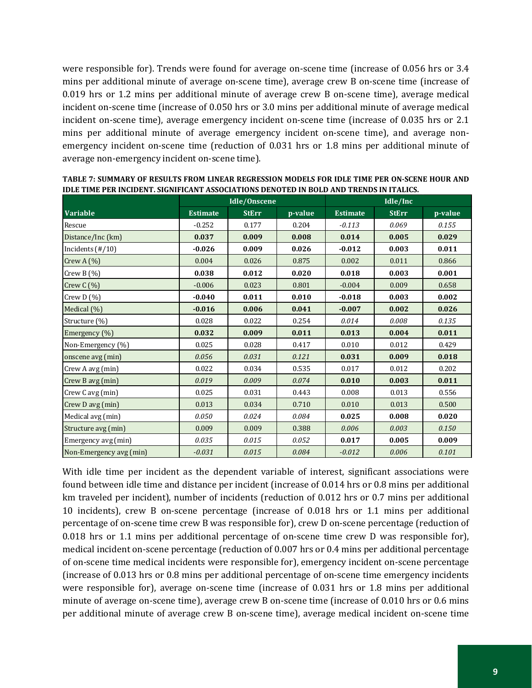were responsible for). Trends were found for average on-scene time (increase of 0.056 hrs or 3.4 mins per additional minute of average on-scene time), average crew B on-scene time (increase of 0.019 hrs or 1.2 mins per additional minute of average crew B on-scene time), average medical incident on-scene time (increase of 0.050 hrs or 3.0 mins per additional minute of average medical incident on-scene time), average emergency incident on-scene time (increase of 0.035 hrs or 2.1 mins per additional minute of average emergency incident on-scene time), and average nonemergency incident on-scene time (reduction of 0.031 hrs or 1.8 mins per additional minute of average non-emergency incident on-scene time).

|                             |                 | Idle/Onscene |         | Idle/Inc        |              |         |  |
|-----------------------------|-----------------|--------------|---------|-----------------|--------------|---------|--|
| <b>Variable</b>             | <b>Estimate</b> | <b>StErr</b> | p-value | <b>Estimate</b> | <b>StErr</b> | p-value |  |
| Rescue                      | $-0.252$        | 0.177        | 0.204   | $-0.113$        | 0.069        | 0.155   |  |
| Distance/Inc (km)           | 0.037           | 0.009        | 0.008   | 0.014           | 0.005        | 0.029   |  |
| Incidents $(\frac{\#}{10})$ | $-0.026$        | 0.009        | 0.026   | $-0.012$        | 0.003        | 0.011   |  |
| Crew A $(\%)$               | 0.004           | 0.026        | 0.875   | 0.002           | 0.011        | 0.866   |  |
| Crew B $(\% )$              | 0.038           | 0.012        | 0.020   | 0.018           | 0.003        | 0.001   |  |
| Crew $C(\%)$                | $-0.006$        | 0.023        | 0.801   | $-0.004$        | 0.009        | 0.658   |  |
| Crew $D(%)$                 | $-0.040$        | 0.011        | 0.010   | $-0.018$        | 0.003        | 0.002   |  |
| Medical (%)                 | $-0.016$        | 0.006        | 0.041   | $-0.007$        | 0.002        | 0.026   |  |
| Structure (%)               | 0.028           | 0.022        | 0.254   | 0.014           | 0.008        | 0.135   |  |
| Emergency (%)               | 0.032           | 0.009        | 0.011   | 0.013           | 0.004        | 0.011   |  |
| Non-Emergency (%)           | 0.025           | 0.028        | 0.417   | 0.010           | 0.012        | 0.429   |  |
| onscene avg (min)           | 0.056           | 0.031        | 0.121   | 0.031           | 0.009        | 0.018   |  |
| Crew A avg (min)            | 0.022           | 0.034        | 0.535   | 0.017           | 0.012        | 0.202   |  |
| Crew B avg (min)            | 0.019           | 0.009        | 0.074   | 0.010           | 0.003        | 0.011   |  |
| Crew Cavg (min)             | 0.025           | 0.031        | 0.443   | 0.008           | 0.013        | 0.556   |  |
| Crew D avg (min)            | 0.013           | 0.034        | 0.710   | 0.010           | 0.013        | 0.500   |  |
| Medical avg (min)           | 0.050           | 0.024        | 0.084   | 0.025           | 0.008        | 0.020   |  |
| Structure avg (min)         | 0.009           | 0.009        | 0.388   | 0.006           | 0.003        | 0.150   |  |
| Emergency avg (min)         | 0.035           | 0.015        | 0.052   | 0.017           | 0.005        | 0.009   |  |
| Non-Emergency avg (min)     | $-0.031$        | 0.015        | 0.084   | $-0.012$        | 0.006        | 0.101   |  |

**TABLE 7: SUMMARY OF RESULTS FROM LINEAR REGRESSION MODELS FOR IDLE TIME PER ON-SCENE HOUR AND IDLE TIME PER INCIDENT. SIGNIFICANT ASSOCIATIONS DENOTED IN BOLD AND TRENDS IN ITALICS.** 

With idle time per incident as the dependent variable of interest, significant associations were found between idle time and distance per incident (increase of 0.014 hrs or 0.8 mins per additional km traveled per incident), number of incidents (reduction of 0.012 hrs or 0.7 mins per additional 10 incidents), crew B on-scene percentage (increase of 0.018 hrs or 1.1 mins per additional percentage of on-scene time crew B was responsible for), crew D on-scene percentage (reduction of 0.018 hrs or 1.1 mins per additional percentage of on-scene time crew D was responsible for), medical incident on-scene percentage (reduction of 0.007 hrs or 0.4 mins per additional percentage of on-scene time medical incidents were responsible for), emergency incident on-scene percentage (increase of 0.013 hrs or 0.8 mins per additional percentage of on-scene time emergency incidents were responsible for), average on-scene time (increase of 0.031 hrs or 1.8 mins per additional minute of average on-scene time), average crew B on-scene time (increase of 0.010 hrs or 0.6 mins per additional minute of average crew B on-scene time), average medical incident on-scene time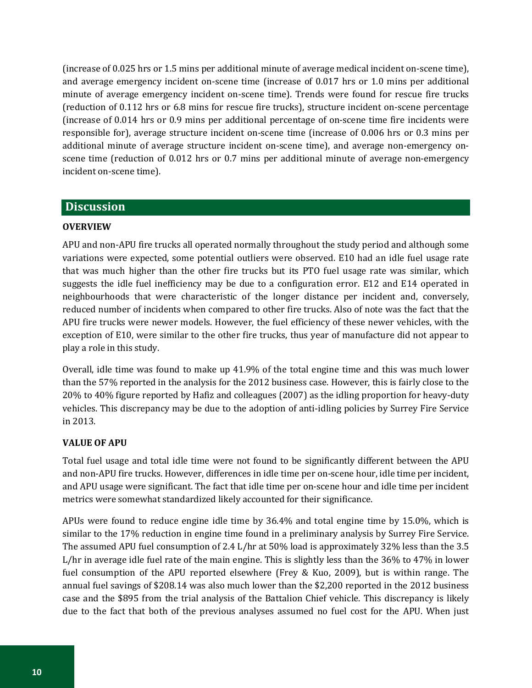(increase of 0.025 hrs or 1.5 mins per additional minute of average medical incident on-scene time), and average emergency incident on-scene time (increase of 0.017 hrs or 1.0 mins per additional minute of average emergency incident on-scene time). Trends were found for rescue fire trucks (reduction of 0.112 hrs or 6.8 mins for rescue fire trucks), structure incident on-scene percentage (increase of 0.014 hrs or 0.9 mins per additional percentage of on-scene time fire incidents were responsible for), average structure incident on-scene time (increase of 0.006 hrs or 0.3 mins per additional minute of average structure incident on-scene time), and average non-emergency onscene time (reduction of 0.012 hrs or 0.7 mins per additional minute of average non-emergency incident on-scene time).

#### <span id="page-13-0"></span>**Discussion**

#### **OVERVIEW**

APU and non-APU fire trucks all operated normally throughout the study period and although some variations were expected, some potential outliers were observed. E10 had an idle fuel usage rate that was much higher than the other fire trucks but its PTO fuel usage rate was similar, which suggests the idle fuel inefficiency may be due to a configuration error. E12 and E14 operated in neighbourhoods that were characteristic of the longer distance per incident and, conversely, reduced number of incidents when compared to other fire trucks. Also of note was the fact that the APU fire trucks were newer models. However, the fuel efficiency of these newer vehicles, with the exception of E10, were similar to the other fire trucks, thus year of manufacture did not appear to play a role in this study.

Overall, idle time was found to make up 41.9% of the total engine time and this was much lower than the 57% reported in the analysis for the 2012 business case. However, this is fairly close to the 20% to 40% figure reported by Hafiz and colleagues (2007) as the idling proportion for heavy-duty vehicles. This discrepancy may be due to the adoption of anti-idling policies by Surrey Fire Service in 2013.

#### <span id="page-13-1"></span>**VALUE OF APU**

Total fuel usage and total idle time were not found to be significantly different between the APU and non-APU fire trucks. However, differences in idle time per on-scene hour, idle time per incident, and APU usage were significant. The fact that idle time per on-scene hour and idle time per incident metrics were somewhat standardized likely accounted for their significance.

APUs were found to reduce engine idle time by 36.4% and total engine time by 15.0%, which is similar to the 17% reduction in engine time found in a preliminary analysis by Surrey Fire Service. The assumed APU fuel consumption of 2.4 L/hr at 50% load is approximately 32% less than the 3.5 L/hr in average idle fuel rate of the main engine. This is slightly less than the 36% to 47% in lower fuel consumption of the APU reported elsewhere (Frey & Kuo, 2009), but is within range. The annual fuel savings of \$208.14 was also much lower than the \$2,200 reported in the 2012 business case and the \$895 from the trial analysis of the Battalion Chief vehicle. This discrepancy is likely due to the fact that both of the previous analyses assumed no fuel cost for the APU. When just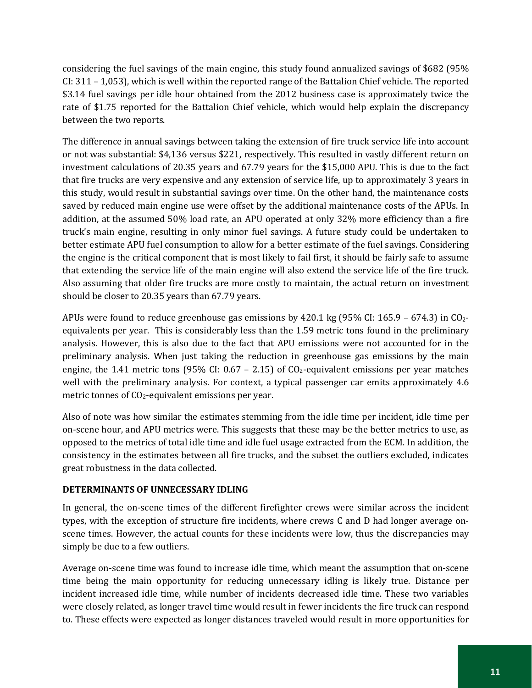considering the fuel savings of the main engine, this study found annualized savings of \$682 (95% CI: 311 – 1,053), which is well within the reported range of the Battalion Chief vehicle. The reported \$3.14 fuel savings per idle hour obtained from the 2012 business case is approximately twice the rate of \$1.75 reported for the Battalion Chief vehicle, which would help explain the discrepancy between the two reports.

The difference in annual savings between taking the extension of fire truck service life into account or not was substantial: \$4,136 versus \$221, respectively. This resulted in vastly different return on investment calculations of 20.35 years and 67.79 years for the \$15,000 APU. This is due to the fact that fire trucks are very expensive and any extension of service life, up to approximately 3 years in this study, would result in substantial savings over time. On the other hand, the maintenance costs saved by reduced main engine use were offset by the additional maintenance costs of the APUs. In addition, at the assumed 50% load rate, an APU operated at only 32% more efficiency than a fire truck's main engine, resulting in only minor fuel savings. A future study could be undertaken to better estimate APU fuel consumption to allow for a better estimate of the fuel savings. Considering the engine is the critical component that is most likely to fail first, it should be fairly safe to assume that extending the service life of the main engine will also extend the service life of the fire truck. Also assuming that older fire trucks are more costly to maintain, the actual return on investment should be closer to 20.35 years than 67.79 years.

APUs were found to reduce greenhouse gas emissions by 420.1 kg  $(95\% \text{ CI: } 165.9 - 674.3)$  in CO<sub>2</sub>equivalents per year. This is considerably less than the 1.59 metric tons found in the preliminary analysis. However, this is also due to the fact that APU emissions were not accounted for in the preliminary analysis. When just taking the reduction in greenhouse gas emissions by the main engine, the 1.41 metric tons (95% CI:  $0.67 - 2.15$ ) of CO<sub>2</sub>-equivalent emissions per year matches well with the preliminary analysis. For context, a typical passenger car emits approximately 4.6 metric tonnes of  $CO<sub>2</sub>$ -equivalent emissions per year.

Also of note was how similar the estimates stemming from the idle time per incident, idle time per on-scene hour, and APU metrics were. This suggests that these may be the better metrics to use, as opposed to the metrics of total idle time and idle fuel usage extracted from the ECM. In addition, the consistency in the estimates between all fire trucks, and the subset the outliers excluded, indicates great robustness in the data collected.

#### <span id="page-14-0"></span>**DETERMINANTS OF UNNECESSARY IDLING**

In general, the on-scene times of the different firefighter crews were similar across the incident types, with the exception of structure fire incidents, where crews C and D had longer average onscene times. However, the actual counts for these incidents were low, thus the discrepancies may simply be due to a few outliers.

Average on-scene time was found to increase idle time, which meant the assumption that on-scene time being the main opportunity for reducing unnecessary idling is likely true. Distance per incident increased idle time, while number of incidents decreased idle time. These two variables were closely related, as longer travel time would result in fewer incidents the fire truck can respond to. These effects were expected as longer distances traveled would result in more opportunities for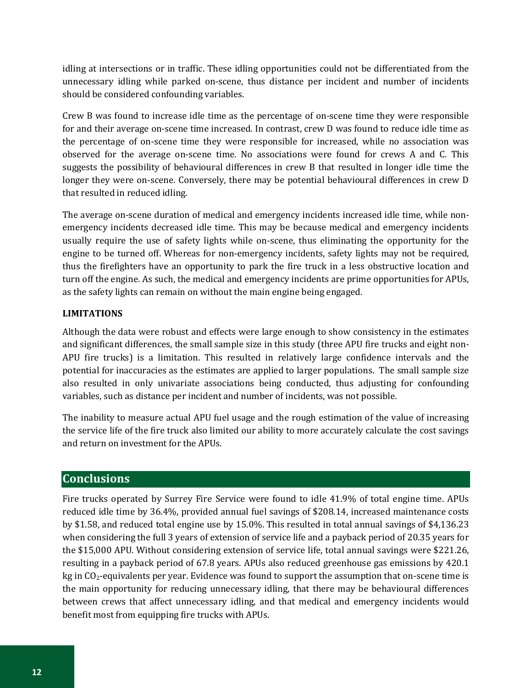idling at intersections or in traffic. These idling opportunities could not be differentiated from the unnecessary idling while parked on-scene, thus distance per incident and number of incidents should be considered confounding variables.

Crew B was found to increase idle time as the percentage of on-scene time they were responsible for and their average on-scene time increased. In contrast, crew D was found to reduce idle time as the percentage of on-scene time they were responsible for increased, while no association was observed for the average on-scene time. No associations were found for crews A and C. This suggests the possibility of behavioural differences in crew B that resulted in longer idle time the longer they were on-scene. Conversely, there may be potential behavioural differences in crew D that resulted in reduced idling.

The average on-scene duration of medical and emergency incidents increased idle time, while nonemergency incidents decreased idle time. This may be because medical and emergency incidents usually require the use of safety lights while on-scene, thus eliminating the opportunity for the engine to be turned off. Whereas for non-emergency incidents, safety lights may not be required, thus the firefighters have an opportunity to park the fire truck in a less obstructive location and turn off the engine. As such, the medical and emergency incidents are prime opportunities for APUs, as the safety lights can remain on without the main engine being engaged.

#### <span id="page-15-0"></span>**LIMITATIONS**

Although the data were robust and effects were large enough to show consistency in the estimates and significant differences, the small sample size in this study (three APU fire trucks and eight non-APU fire trucks) is a limitation. This resulted in relatively large confidence intervals and the potential for inaccuracies as the estimates are applied to larger populations. The small sample size also resulted in only univariate associations being conducted, thus adjusting for confounding variables, such as distance per incident and number of incidents, was not possible.

The inability to measure actual APU fuel usage and the rough estimation of the value of increasing the service life of the fire truck also limited our ability to more accurately calculate the cost savings and return on investment for the APUs.

## <span id="page-15-1"></span>**Conclusions**

Fire trucks operated by Surrey Fire Service were found to idle 41.9% of total engine time. APUs reduced idle time by 36.4%, provided annual fuel savings of \$208.14, increased maintenance costs by \$1.58, and reduced total engine use by 15.0%. This resulted in total annual savings of \$4,136.23 when considering the full 3 years of extension of service life and a payback period of 20.35 years for the \$15,000 APU. Without considering extension of service life, total annual savings were \$221.26, resulting in a payback period of 67.8 years. APUs also reduced greenhouse gas emissions by 420.1 kg in CO<sub>2</sub>-equivalents per year. Evidence was found to support the assumption that on-scene time is the main opportunity for reducing unnecessary idling, that there may be behavioural differences between crews that affect unnecessary idling, and that medical and emergency incidents would benefit most from equipping fire trucks with APUs.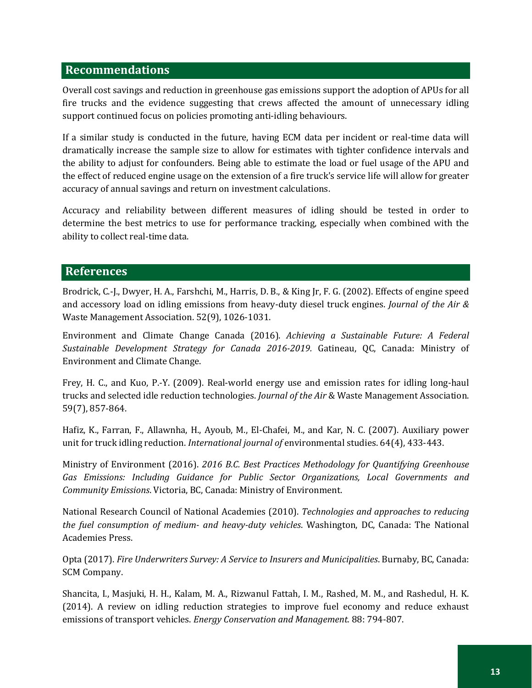#### <span id="page-16-0"></span>**Recommendations**

Overall cost savings and reduction in greenhouse gas emissions support the adoption of APUs for all fire trucks and the evidence suggesting that crews affected the amount of unnecessary idling support continued focus on policies promoting anti-idling behaviours.

If a similar study is conducted in the future, having ECM data per incident or real-time data will dramatically increase the sample size to allow for estimates with tighter confidence intervals and the ability to adjust for confounders. Being able to estimate the load or fuel usage of the APU and the effect of reduced engine usage on the extension of a fire truck's service life will allow for greater accuracy of annual savings and return on investment calculations.

Accuracy and reliability between different measures of idling should be tested in order to determine the best metrics to use for performance tracking, especially when combined with the ability to collect real-time data.

#### <span id="page-16-1"></span>**References**

Brodrick, C.-J., Dwyer, H. A., Farshchi, M., Harris, D. B., & King Jr, F. G. (2002). Effects of engine speed and accessory load on idling emissions from heavy-duty diesel truck engines. *Journal of the Air &*  Waste Management Association. 52(9), 1026-1031.

Environment and Climate Change Canada (2016). *Achieving a Sustainable Future: A Federal Sustainable Development Strategy for Canada 2016-2019.* Gatineau, QC, Canada: Ministry of Environment and Climate Change.

Frey, H. C., and Kuo, P.-Y. (2009). Real-world energy use and emission rates for idling long-haul trucks and selected idle reduction technologies. *Journal of the Air* & Waste Management Association. 59(7), 857-864.

Hafiz, K., Farran, F., Allawnha, H., Ayoub, M., El-Chafei, M., and Kar, N. C. (2007). Auxiliary power unit for truck idling reduction. *International journal of* environmental studies. 64(4), 433-443.

Ministry of Environment (2016). *2016 B.C. Best Practices Methodology for Quantifying Greenhouse Gas Emissions: Including Guidance for Public Sector Organizations, Local Governments and Community Emissions*. Victoria, BC, Canada: Ministry of Environment.

National Research Council of National Academies (2010). *Technologies and approaches to reducing the fuel consumption of medium- and heavy-duty vehicles*. Washington, DC, Canada: The National Academies Press.

Opta (2017). *Fire Underwriters Survey: A Service to Insurers and Municipalities*. Burnaby, BC, Canada: SCM Company.

Shancita, I., Masjuki, H. H., Kalam, M. A., Rizwanul Fattah, I. M., Rashed, M. M., and Rashedul, H. K. (2014). A review on idling reduction strategies to improve fuel economy and reduce exhaust emissions of transport vehicles. *Energy Conservation and Management.* 88: 794-807.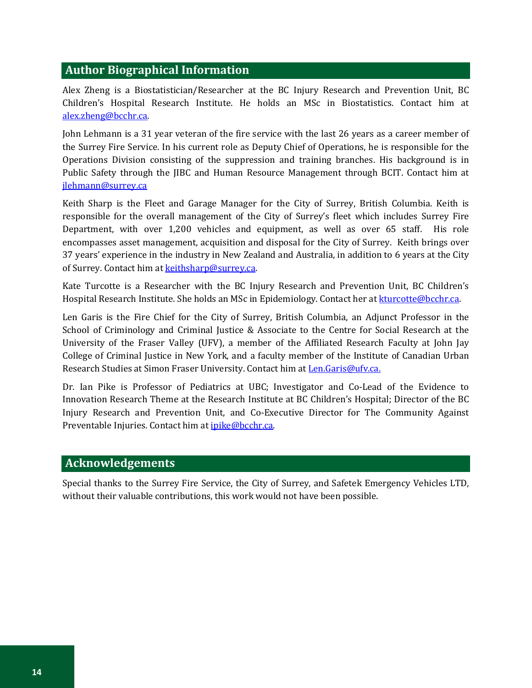#### <span id="page-17-0"></span>**Author Biographical Information**

Alex Zheng is a Biostatistician/Researcher at the BC Injury Research and Prevention Unit, BC Children's Hospital Research Institute. He holds an MSc in Biostatistics. Contact him at [alex.zheng@bcchr.ca.](mailto:alex.zheng@bcchr.ca)

John Lehmann is a 31 year veteran of the fire service with the last 26 years as a career member of the Surrey Fire Service. In his current role as Deputy Chief of Operations, he is responsible for the Operations Division consisting of the suppression and training branches. His background is in Public Safety through the JIBC and Human Resource Management through BCIT. Contact him at [jlehmann@surrey.ca](mailto:jlehmann@surrey.ca)

Keith Sharp is the Fleet and Garage Manager for the City of Surrey, British Columbia. Keith is responsible for the overall management of the City of Surrey's fleet which includes Surrey Fire Department, with over 1,200 vehicles and equipment, as well as over 65 staff. His role encompasses asset management, acquisition and disposal for the City of Surrey. Keith brings over 37 years' experience in the industry in New Zealand and Australia, in addition to 6 years at the City of Surrey. Contact him a[t keithsharp@surrey.ca.](mailto:keithsharp@surrey.ca)

Kate Turcotte is a Researcher with the BC Injury Research and Prevention Unit, BC Children's Hospital Research Institute. She holds an MSc in Epidemiology. Contact her a[t kturcotte@bcchr.ca.](mailto:kturcotte@bcchr.ca)

Len Garis is the Fire Chief for the City of Surrey, British Columbia, an Adjunct Professor in the School of Criminology and Criminal Justice & Associate to the Centre for Social Research at the University of the Fraser Valley (UFV), a member of the Affiliated Research Faculty at John Jay College of Criminal Justice in New York, and a faculty member of the Institute of Canadian Urban Research Studies at Simon Fraser University. Contact him at Len.Garis@ufv.ca.

Dr. Ian Pike is Professor of Pediatrics at UBC; Investigator and Co-Lead of the Evidence to Innovation Research Theme at the Research Institute at BC Children's Hospital; Director of the BC Injury Research and Prevention Unit, and Co-Executive Director for The Community Against Preventable Injuries. Contact him a[t ipike@bcchr.ca.](mailto:ipike@bcchr.ca)

#### **Acknowledgements**

Special thanks to the Surrey Fire Service, the City of Surrey, and Safetek Emergency Vehicles LTD, without their valuable contributions, this work would not have been possible.